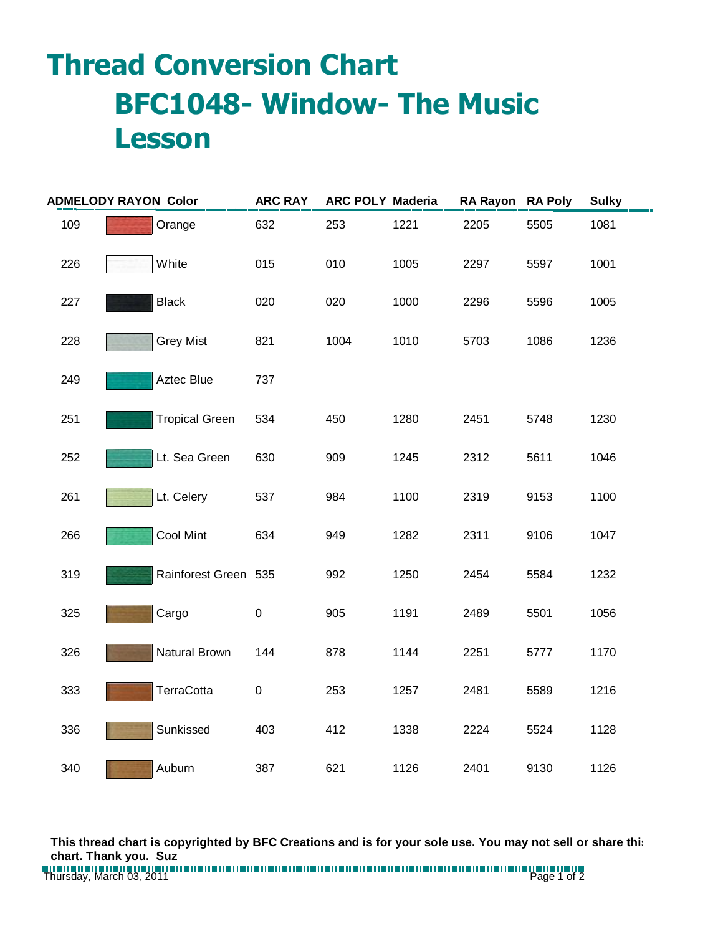## **Thread Conversion Chart BFC1048- Window- The Music Lesson**

| <b>ADMELODY RAYON Color</b> |  |                       | <b>ARC RAY</b> | <b>ARC POLY Maderia</b> |      | RA Rayon RA Poly |      | <b>Sulky</b> |
|-----------------------------|--|-----------------------|----------------|-------------------------|------|------------------|------|--------------|
| 109                         |  | Orange                | 632            | 253                     | 1221 | 2205             | 5505 | 1081         |
| 226                         |  | White                 | 015            | 010                     | 1005 | 2297             | 5597 | 1001         |
| 227                         |  | <b>Black</b>          | 020            | 020                     | 1000 | 2296             | 5596 | 1005         |
| 228                         |  | <b>Grey Mist</b>      | 821            | 1004                    | 1010 | 5703             | 1086 | 1236         |
| 249                         |  | Aztec Blue            | 737            |                         |      |                  |      |              |
| 251                         |  | <b>Tropical Green</b> | 534            | 450                     | 1280 | 2451             | 5748 | 1230         |
| 252                         |  | Lt. Sea Green         | 630            | 909                     | 1245 | 2312             | 5611 | 1046         |
| 261                         |  | Lt. Celery            | 537            | 984                     | 1100 | 2319             | 9153 | 1100         |
| 266                         |  | Cool Mint             | 634            | 949                     | 1282 | 2311             | 9106 | 1047         |
| 319                         |  | Rainforest Green 535  |                | 992                     | 1250 | 2454             | 5584 | 1232         |
| 325                         |  | Cargo                 | $\mathbf 0$    | 905                     | 1191 | 2489             | 5501 | 1056         |
| 326                         |  | Natural Brown         | 144            | 878                     | 1144 | 2251             | 5777 | 1170         |
| 333                         |  | <b>TerraCotta</b>     | $\pmb{0}$      | 253                     | 1257 | 2481             | 5589 | 1216         |
| 336                         |  | Sunkissed             | 403            | 412                     | 1338 | 2224             | 5524 | 1128         |
| 340                         |  | Auburn                | 387            | 621                     | 1126 | 2401             | 9130 | 1126         |

**This thread chart is copyrighted by BFC Creations and is for your sole use. You may not sell or share this chart. Thank you. Suz**